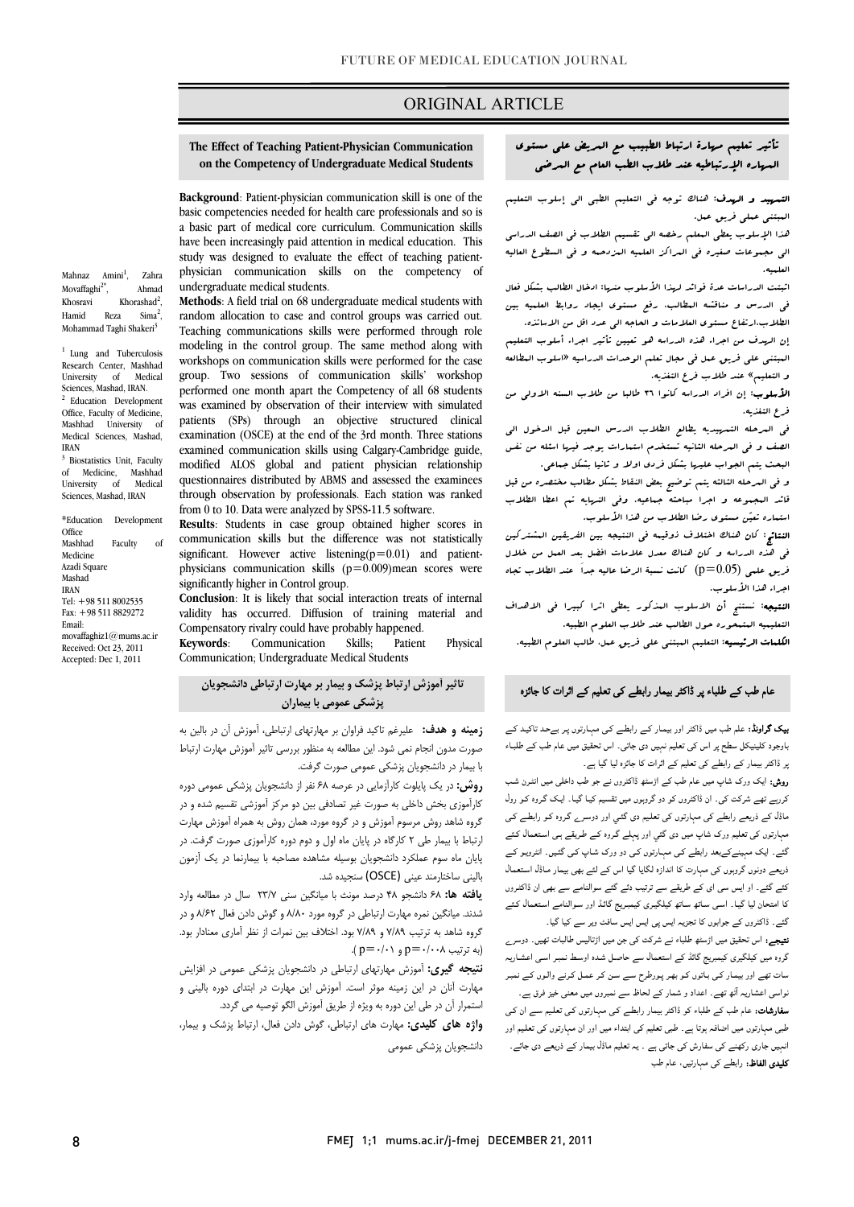### ORIGINAL ARTICLE

## **The Effect of Teaching Patient-Physician Communication on the Competency of Undergraduate Medical Students**

Ī  $\overline{a}$ 

 **Background**: Patient-physician communication skill is one of the basic competencies needed for health care professionals and so is have been increasingly paid attention in medical education. This study was designed to evaluate the effect of teaching patient- physician communication skills on the competency of a basic part of medical core curriculum. Communication skills undergraduate medical students.

 **Methods**: A field trial on 68 undergraduate medical students with random allocation to case and control groups was carried out. modeling in the control group. The same method along with workshops on communication skills were performed for the case group. Two sessions or communication skills workshop<br>performed one month apart the Competency of all 68 students was examined by observation of their interview with simulated patients (SPs) through an objective structured clinical examination (cool) at the end of the for month. Three stations<br>examined communication skills using Calgary-Cambridge guide, modified ALOS global and patient physician relationship quesuonnaires distributed by Abivis and assessed the examinees<br>through observation by professionals. Each station was ranked from 0 to 10. Data were analyzed by SPSS-11.5 software. Teaching communications skills were performed through role group. Two sessions of communication skills' workshop examination (OSCE) at the end of the 3rd month. Three stations questionnaires distributed by ABMS and assessed the examinees

 **Results**: Students in case group obtained higher scores in significant. However active listening(p=0.01) and patient- physicians communication skills (p=0.009)mean scores were communication skills but the difference was not statistically significantly higher in Control group.

 **Conclusion**: It is likely that social interaction treats of internal validity has occurred. Diffusion of training material and Compensatory rivalry could have probably happened.

 Communication; Undergraduate Medical Students **Keywords**: Communication Skills; Patient Physical

## **تاثير آموزش ارتباط پزشك و بيمار بر مهارت ارتباطي دانشجويان پزشكي عمومي با بيماران**

Ĭ

 **زمينه و هدف:** عليرغم تاكيد فراوان بر مهارتهاي ارتباطي، آموزش آن در بالين به ب<br>با بيمار در دانشجويان پزشكي عمومي صورت گرفت.<br>با بيمار در دانشجويان پزشكي عمومي صورت گرفت. صورت مدون انجام نمي شود. اين مطالعه به منظور بررسي تاثير آموزش مهارت ارتباط

 **روش:** در يك پايلوت كارآزمايي در عرصه 68 نفر از دانشجويان پزشكي عمومي دوره كارآموزي بخش داخلي به صورت غير تصادفي بين دو مركز آموزشي تقسيم شده و در گروه شاهد روش مرسوم آموزش و در گروه مورد، همان روش به همراه آموزش مهارت ارتباط با بيمار طي 2 كارگاه در پايان ماه اول و دوم دوره كارآموزي صورت گرفت. در پايان ماه سوم عملكرد دانشجويان بوسيله مشاهده مصاحبه با بيمارنما در يك آزمون باليني ساختارمند عيني (OSCE) سنجيده شد.<br>مند

 **يافته ها:** 68 دانشجو 48 درصد مونث با ميانگين سني 23/7 سال در مطالعه وارد ستند به تبيت بين تقريب به رساز به تنها تر تروت بورت من بين و توس تاس تاس با به و تر<br>گروه شاهد به ترتيب ۷/۸۹ و ۷/۸۹ بود. اختلاف بين نمرات از نظر آماري معنادار بود. . .<br>(به ترتيب p=۰/۰۰۸ = p( ۰/۰۱). شدند. ميانگين نمره مهارت ارتباطي در گروه مورد 8/80 و گوش دادن فعال 8/62 و در

 **نتيجه گيري:** آموزش مهارتهاي ارتباطي در دانشجويان پزشكي عمومي در افزايش مهارت آنان در اين زمينه موثر است. آموزش اين مهارت در ابتداي دوره باليني و استمرار آن در طي اين دوره به ويژه از طريق آموزش الگو توصيه مي گردد.

 **واژه هاي كليدي:** مهارت هاي ارتباطي، گوش دادن فعال، ارتباط پزشك و بيمار، دانشجويان پزشكي عمومي

# تأثير تعليم مهارة ارتباط الطبيب مع المريض علي مستوي المهاره الإرتباطيه عند طلاب الطب العام مع المرضي

Ī  $\overline{a}$ 

 التمهيد و الهدف: هناك توجه في التعليم الطبي الي إسلوب التعليم المبتني عملي فريق عمل.

 هذا الإسلوب يعطي المعلم رخصه الي تقسيم الطلاب في الصف الدراسي الي مجموعات صغيره في المراكز العلميه المزدحمه و في السطوع العاليه العلميه.

ائتبتية.<br>اثبتت الدراسات عدة فوائد لريذا الأسلوب منريا: ادخال الطالب بشكل فعال في الدرس و مناقشه المطالب، رفع مستوي ايجاد روابط العلميه بين الطلاب،ارتفاع مستوي العلامات و الحاجه الي عدد اقل من الاساتذه.

 إن الهدف من اجراء هذه الدراسه هو تعيين تأثير اجراء أسلوب التعليم المبتني علي فريق عمل في مجال تعلم الوحدات الدراسيه «اسلوب المطالعه و التعليم» عند طلاب فرع التغذيه.

ا**لأسلوب**: إن افراد الدراسه كانوا ٣٦ طالبا من طلاب السنه الاولى من<br>فرعالت: م فرع التغذيه.

 في المرحله التمهيديه يطالع الطلاب الدرس المعين قبل الدخول الي الصف و في المرحله الثانيه تستخدم استمارات يوجد فيها اسئله من نفس البحث يتم الجواب عليها بشكل فردي اولا و ثانيا بشكل جماعي.

 و في المرحله الثالثه يتم توضيح بعض النقاط بشكل مطالب مختصره من قبل قائد المجموعه و اجرا مباحثه جماعيه. وفي النهايه تم اعطا الطلاب استماره تعين مستوي رضا الطلاب من هذا الأسلوب.

 النتائج: كان هناك اختلاف ذوقيمه في النتيجه بين الفريقين المشتركين في هذه الدراسه و كان هناك معدل علامات افضل بعد العمل من خلال فريق علمي (0.05=p (كانت نسبة الرضا عاليه جداَ عند الطلاب تجاه اجراء هذا الأسلوب.

ا**لنتيجه**: نستنج أن الاسلوب المذكور يعطى اثرا كبيرا ف<sub>ى</sub> الاهداف<br>. التعليميه المتمحوره حول الطالب عند طلاب العلوم الطبيه.

**لكلمات الرئيسيه**: التعليم المبتنى على فري*ق عم*ل. طالب العلوم الطبيه.<br>-

### عام طب کے طلباء پر ڈاکٹر بیمار رابطے کی تعلیم کے اثرات کا جائزہ

 بیک گراونڈ: علم طب میں ڈاکٹر اور بیمـار کـے رابطـے کـی مہـارتوں پـر بےحـد تاکیـد کـے **بیٹ بر،ویہ**: عنم *جب* میں داختر اور بیمار نے راہفتے نی مہاریوں پر بےجد نائید نے<br>باوجود کلینیکل سطح پر اس کی تعلیم نہیں دی جاتی۔ اس تحقیق میں عام طب کے طلبـاء پر ڈاکٹر بیمار کے رابطے کی تعلیم کے اثرات کا جائزہ لیا گيا ہے۔

 روش: ایک ورک شاپ میں عام طب کے اڑسٹھ ڈاکٹروں نے جو طب داخلی میں انٹـرن شـب کررہے تھے شرکت کی۔ ان ڈاکٹروں کو دو گروہوں میں تقسیم کیـا گيـا۔ ایـک گـروہ کـو رول ماڈل کے ذریعے رابطے کی مہارتوں کی تعلـیم دی گئـي اور دوسـرے گـروہ کـو رابطـے کـی مہارتوں کی تعلیم ورک شاپ میں دی گئي اور پہلے گروہ کے طریقے ہـی اسـتعمال کـئے<br>۔ مــے۔ یہ ـــ سہیمــے ــےـــــ رہـــے سی سہتررین سے مرر رز ـــ ســ پــ سی مــیں۔ سررینو سے<br>ذریعے دونوں گروہوں کی مہارت کا اندازہ لگایا گیا اس کے لئے بھی بیمار مـاڈل استعمال کئے گئے۔ او ایس سی ای کے طریقے سے ترتیب دئے گئے سوالنامے سے بھی ان ڈاکٹـروں کا امتحان لیا گيـا۔ اسـی سـاتھ سـاتھ کیلگیـری کیمبـریج گائـڈ اور سـوالنامے اسـتعمال کـئے گئے۔ ایک مہینےکےبعد رابطے کـی مہـارتوں کـی دو ورک شـاپ کـی گئـيں۔ انٹرویـو کـے

 گئے۔ ڈاکٹروں کے جوابوں کا تجزیہ ایس پی ایس ایس سافٹ ویر سے کیا گيا۔ ن**تیجے:** اس تحقیق میں اڑسٹھ طلباء نے شرکت کی جن میں اڑتالیس طالبات تھیں۔ دوسر<sub>ے</sub><br>۔ سروہ میں بیمبیری نیسریج تاتھ نے استعداد سے جاتص سندا اوسط سبز اسی اسسازیہ<br>سات تھے اور بیمار کـی بـاتوں کـو بھـر پـورطرح سے سن کـر عمـل کـرنے والـوں کـے نمبـر نے میں سے میں اس کے معنی اور اس کے لیے اس کے لیے اس کے لیے اس کے لیے۔<br>نواسی اعشاریہ آٹھ تھے۔ اعداد و شمار کے لحاظ سے نمبروں میں معنی خیز فرق ہے۔ سفارشات: عام طب کے طلباء کو ڈاکٹر بیمار رابطـے کـی مہـارتوں کـی تعلـیم سـے ان کـی طبی مہارتوں میں اضافہ ہوتا ہے۔ طبی تعلیم کی ابتداء میں اور ان مہارتوں کی تعلـیم اور گروہ میں کیلگیری کیمبریج گائڈ کے استعمال سے حاصـل شـدہ اوسـط نمبـر اسـی اعشـاریہ

 انہیں جاری رکھنے کی سفارش کی جاتی ہے ۔ یہ تعلیم ماڈل بیمار کے ذریعے دی جائے۔ **کلیدی الفاظ:** رابطے کی مہارتیں، عام طب<br>۔

Mahnaz Amini<sup>1</sup>, , Zahra Movaffaghi<sup>2\*</sup>, Ahmad Khosravi Khorashad<sup>2</sup>, Hamid Reza Sima<sup>2</sup>, Mohammad Taghi Shakeri<sup>3</sup>

<sup>1</sup> Lung and Tuberculosis Research Center, Mashhad University of Medical Sciences, Mashad, IRAN.  $2$  Education Development Office, Faculty of Medicine, Mashhad University of Medical Sciences, Mashad, IRAN

<sup>3</sup> Biostatistics Unit, Faculty of Medicine, Mashhad University of Medical Sciences, Mashad, IRAN

\*Education Development **Office** Mashhad Faculty of Medicine Azadi Square Mashad IRAN Tel: +98 511 8002535 Fax: +98 511 8829272 Email: movaffaghiz1@mums.ac.ir Received: Oct 23, 2011 Accepted: Dec 1, 2011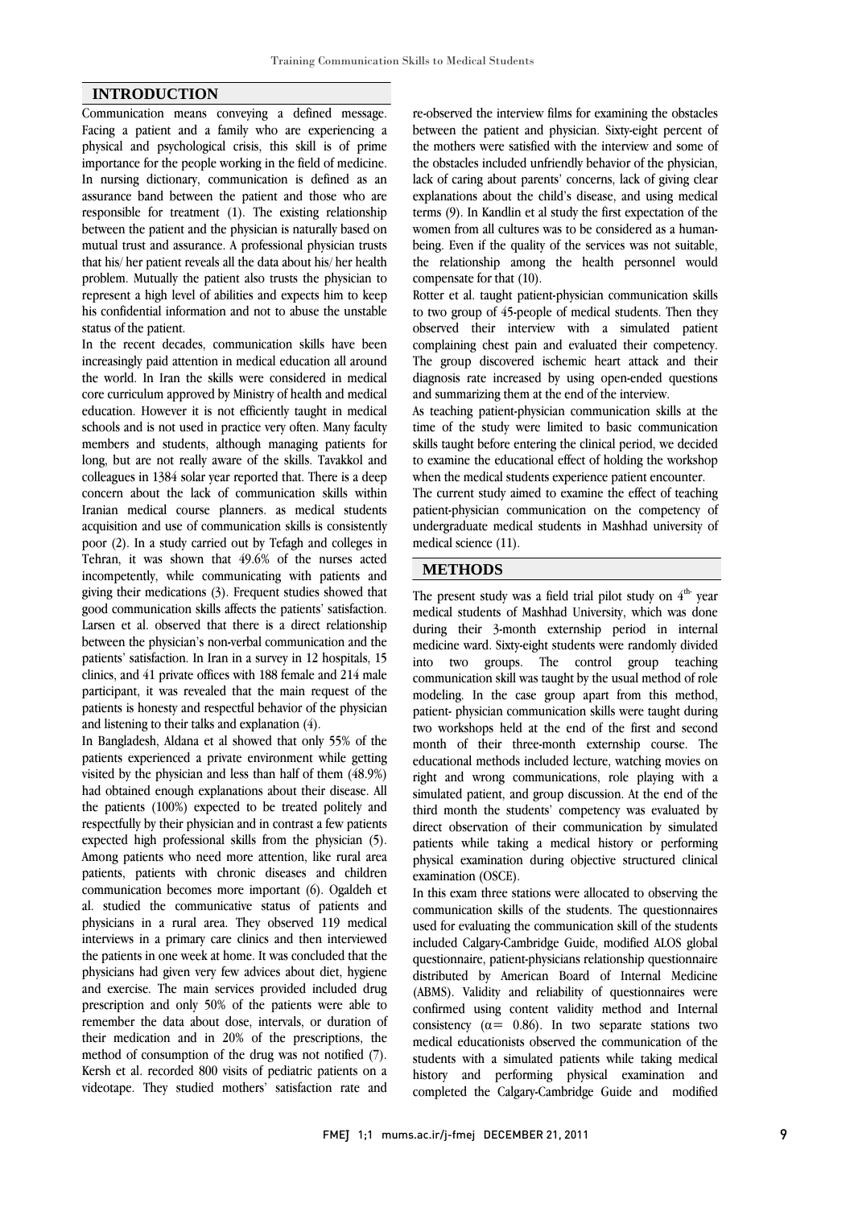#### **INTRODUCTION**

Communication means conveying a defined message. Facing a patient and a family who are experiencing a physical and psychological crisis, this skill is of prime importance for the people working in the field of medicine. In nursing dictionary, communication is defined as an assurance band between the patient and those who are responsible for treatment (1). The existing relationship between the patient and the physician is naturally based on mutual trust and assurance. A professional physician trusts that his/ her patient reveals all the data about his/ her health problem. Mutually the patient also trusts the physician to represent a high level of abilities and expects him to keep his confidential information and not to abuse the unstable status of the patient.

In the recent decades, communication skills have been increasingly paid attention in medical education all around the world. In Iran the skills were considered in medical core curriculum approved by Ministry of health and medical education. However it is not efficiently taught in medical schools and is not used in practice very often. Many faculty members and students, although managing patients for long, but are not really aware of the skills. Tavakkol and colleagues in 1384 solar year reported that. There is a deep concern about the lack of communication skills within Iranian medical course planners. as medical students acquisition and use of communication skills is consistently poor (2). In a study carried out by Tefagh and colleges in Tehran, it was shown that 49.6% of the nurses acted incompetently, while communicating with patients and giving their medications (3). Frequent studies showed that good communication skills affects the patients' satisfaction. Larsen et al. observed that there is a direct relationship between the physician's non-verbal communication and the patients' satisfaction. In Iran in a survey in 12 hospitals, 15 clinics, and 41 private offices with 188 female and 214 male participant, it was revealed that the main request of the patients is honesty and respectful behavior of the physician and listening to their talks and explanation (4).

In Bangladesh, Aldana et al showed that only 55% of the patients experienced a private environment while getting visited by the physician and less than half of them (48.9%) had obtained enough explanations about their disease. All the patients (100%) expected to be treated politely and respectfully by their physician and in contrast a few patients expected high professional skills from the physician (5). Among patients who need more attention, like rural area patients, patients with chronic diseases and children communication becomes more important (6). Ogaldeh et al. studied the communicative status of patients and physicians in a rural area. They observed 119 medical interviews in a primary care clinics and then interviewed the patients in one week at home. It was concluded that the physicians had given very few advices about diet, hygiene and exercise. The main services provided included drug prescription and only 50% of the patients were able to remember the data about dose, intervals, or duration of their medication and in 20% of the prescriptions, the method of consumption of the drug was not notified (7). Kersh et al. recorded 800 visits of pediatric patients on a videotape. They studied mothers' satisfaction rate and

 re-observed the interview films for examining the obstacles between the patient and physician. Sixty-eight percent of the mothers were satisfied with the interview and some of lack of caring about parents' concerns, lack of giving clear explanations about the child's disease, and using medical terms (9). In Kandlin et al study the first expectation of the women nom an cultures was to be considered as a numal-<br>being. Even if the quality of the services was not suitable, the relationship among the health personnel would compensate for that (10). the obstacles included unfriendly behavior of the physician, women from all cultures was to be considered as a human-

 Rotter et al. taught patient-physician communication skills observed their interview with a simulated patient complaining chest pain and evaluated their competency. The group discovered ischemic heart attack and their diagnosis rate increased by using open-ended questions to two group of 45-people of medical students. Then they and summarizing them at the end of the interview.

 As teaching patient-physician communication skills at the time of the study were limited to basic communication skills taught before entering the clinical period, we decided to examine the educational effect of holding the workshop when the medical students experience patient encounter.

The current study aimed to examine the effect of teaching patient-physician communication on the competency of undergraduate medical students in Mashhad university of medical science (11).

### **METHODS**

The present study was a field trial pilot study on  $4<sup>th</sup>$  year medical students of Mashhad University, which was done during their 3-month externship period in internal into two groups. The control group teaching communication skill was taught by the usual method of role modeling. In the case group apart from this method, patient- physician communication skills were taught during month of their three-month externship course. The educational methods included lecture, watching movies on right and wrong communications, role playing with a simulated patient, and group discussion. At the end of the direct observation of their communication by simulated by patients while taking a medical history or performing physical examination during objective structured clinical examination (OSCE). medicine ward. Sixty-eight students were randomly divided two workshops held at the end of the first and second third month the students' competency was evaluated by

 communication skills of the students. The questionnaires used for evaluating the communication skill of the students included Calgary-Cambridge Guide, modified ALOS global questionnaire, patient-physicians relationship questionnaire (ABMS). Validity and reliability of questionnaires were confirmed using content validity method and Internal consistency  $(\alpha = 0.86)$ . In two separate stations two students with a simulated patients while taking medical history and performing physical examination and completed the Calgary-Cambridge Guide and modified In this exam three stations were allocated to observing the distributed by American Board of Internal Medicine medical educationists observed the communication of the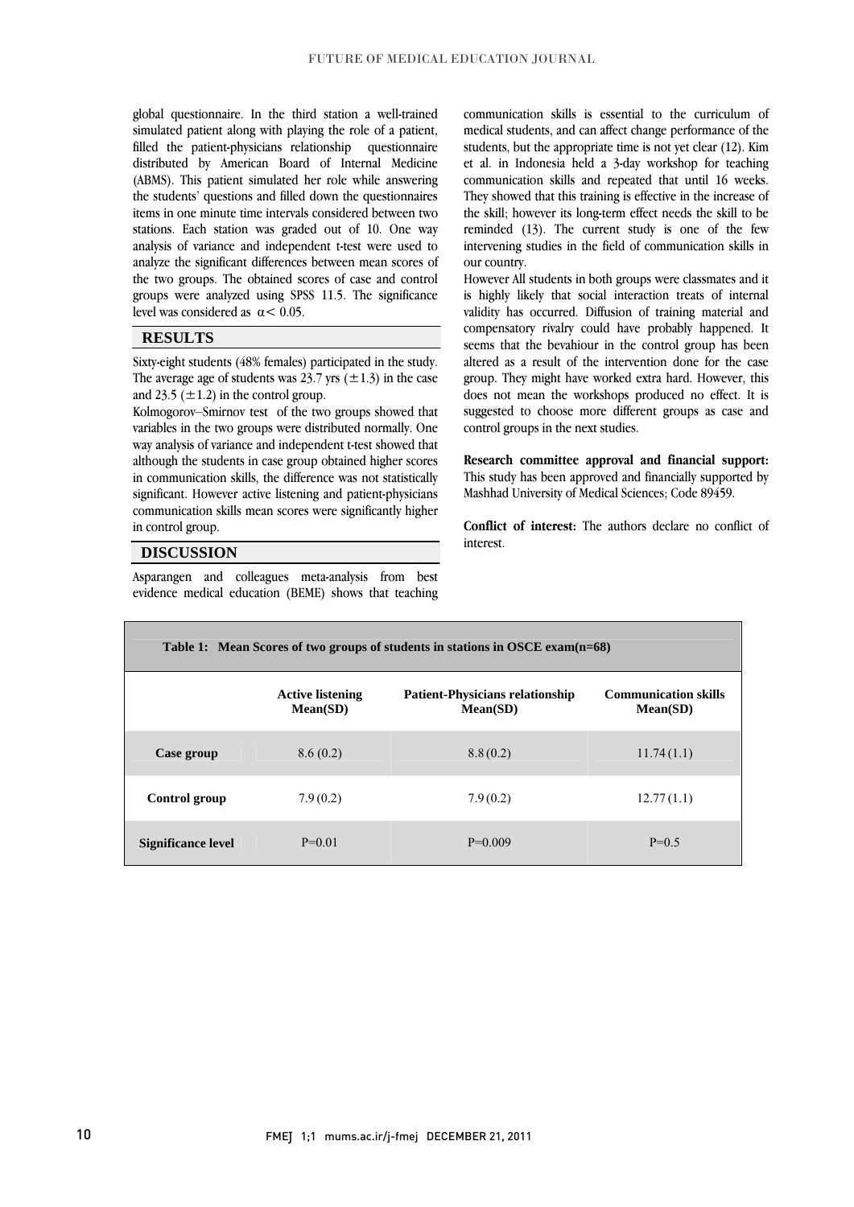global questionnaire. In the third station a well-trained simulated patient along with playing the role of a patient, filled the patient-physicians relationship questionnaire (ABMS). This patient simulated her role while answering the students' questions and filled down the questionnaires items in one minute time intervals considered between two stations. Each station was graded out of 10. One way<br>analysis of variance and independent t-test were used to analyze the significant differences between mean scores of the two groups. The obtained scores of case and control groups were analyzed using SPSS 11.5. The significance  $\overline{a}$ distributed by American Board of Internal Medicine stations. Each station was graded out of 10. One way level was considered as  $\alpha$  < 0.05.

#### **RESULTS**

 Sixty-eight students (48% females) participated in the study. The average age of students was 23.7 yrs  $(\pm 1.3)$  in the case and 23.5 ( $\pm$ 1.2) in the control group.

 $\overline{a}$ 

and  $23.9$  ( $\pm 1.2$ ) in the control group.<br>Kolmogorov–Smirnov test of the two groups showed that variables in the two groups were distributed normally. One way analysis of variance and independent t-test showed that although the students in case group obtained higher scores significant. However active listening and patient-physicians communication skills mean scores were significantly higher in communication skills, the difference was not statistically in control group.

#### **DISCUSSION**

 Asparangen and colleagues meta-analysis from best evidence medical education (BEME) shows that teaching

 communication skills is essential to the curriculum of medical students, and can affect change performance of the students, but the appropriate time is not yet clear (12). Kim communication skills and repeated that until 16 weeks. They showed that this training is effective in the increase of the skill; however its long-term effect needs the skill to be intervening studies in the field of communication skills in et al. in Indonesia held a 3-day workshop for teaching reminded (13). The current study is one of the few our country.

 However All students in both groups were classmates and it is highly likely that social interaction treats of internal compensatory rivalry could have probably happened. It seems that the bevahiour in the control group has been altered as a result of the intervention done for the case group. They might have worked extra hard. However, this suces not mean the workshops produced no enect. It is validity has occurred. Diffusion of training material and does not mean the workshops produced no effect. It is control groups in the next studies.

 **Research committee approval and financial support:** Mashhad University of Medical Sciences; Code 89459. This study has been approved and financially supported by

 **Conflict of interest:** The authors declare no conflict of interest.

| Table 1: Mean Scores of two groups of students in stations in OSCE exam(n=68) |                                     |                                                    |                                         |
|-------------------------------------------------------------------------------|-------------------------------------|----------------------------------------------------|-----------------------------------------|
|                                                                               | <b>Active listening</b><br>Mean(SD) | <b>Patient-Physicians relationship</b><br>Mean(SD) | <b>Communication skills</b><br>Mean(SD) |
| Case group                                                                    | 8.6(0.2)                            | 8.8(0.2)                                           | 11.74(1.1)                              |
| Control group                                                                 | 7.9(0.2)                            | 7.9(0.2)                                           | 12.77(1.1)                              |
| <b>Significance level</b>                                                     | $P=0.01$                            | $P=0.009$                                          | $P=0.5$                                 |